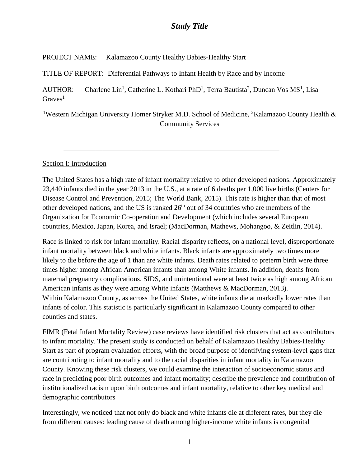PROJECT NAME: Kalamazoo County Healthy Babies-Healthy Start

TITLE OF REPORT: Differential Pathways to Infant Health by Race and by Income

AUTHOR: Charlene Lin<sup>1</sup>, Catherine L. Kothari PhD<sup>1</sup>, Terra Bautista<sup>2</sup>, Duncan Vos MS<sup>1</sup>, Lisa  $Graves<sup>1</sup>$ 

\_\_\_\_\_\_\_\_\_\_\_\_\_\_\_\_\_\_\_\_\_\_\_\_\_\_\_\_\_\_\_\_\_\_\_\_\_\_\_\_\_\_\_\_\_\_\_\_\_\_\_\_\_\_\_\_\_\_\_\_\_

<sup>1</sup>Western Michigan University Homer Stryker M.D. School of Medicine, <sup>2</sup>Kalamazoo County Health & Community Services

### Section I: Introduction

The United States has a high rate of infant mortality relative to other developed nations. Approximately 23,440 infants died in the year 2013 in the U.S., at a rate of 6 deaths per 1,000 live births (Centers for Disease Control and Prevention, 2015; The World Bank, 2015). This rate is higher than that of most other developed nations, and the US is ranked  $26<sup>th</sup>$  out of 34 countries who are members of the Organization for Economic Co-operation and Development (which includes several European countries, Mexico, Japan, Korea, and Israel; (MacDorman, Mathews, Mohangoo, & Zeitlin, 2014).

Race is linked to risk for infant mortality. Racial disparity reflects, on a national level, disproportionate infant mortality between black and white infants. Black infants are approximately two times more likely to die before the age of 1 than are white infants. Death rates related to preterm birth were three times higher among African American infants than among White infants. In addition, deaths from maternal pregnancy complications, SIDS, and unintentional were at least twice as high among African American infants as they were among White infants (Matthews & MacDorman, 2013). Within Kalamazoo County, as across the United States, white infants die at markedly lower rates than infants of color. This statistic is particularly significant in Kalamazoo County compared to other counties and states.

FIMR (Fetal Infant Mortality Review) case reviews have identified risk clusters that act as contributors to infant mortality. The present study is conducted on behalf of Kalamazoo Healthy Babies-Healthy Start as part of program evaluation efforts, with the broad purpose of identifying system-level gaps that are contributing to infant mortality and to the racial disparities in infant mortality in Kalamazoo County. Knowing these risk clusters, we could examine the interaction of socioeconomic status and race in predicting poor birth outcomes and infant mortality; describe the prevalence and contribution of institutionalized racism upon birth outcomes and infant mortality, relative to other key medical and demographic contributors

Interestingly, we noticed that not only do black and white infants die at different rates, but they die from different causes: leading cause of death among higher-income white infants is congenital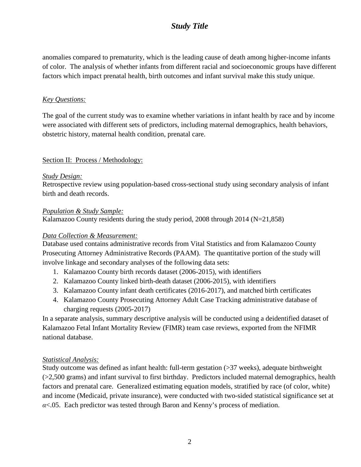anomalies compared to prematurity, which is the leading cause of death among higher-income infants of color. The analysis of whether infants from different racial and socioeconomic groups have different factors which impact prenatal health, birth outcomes and infant survival make this study unique.

### *Key Questions:*

The goal of the current study was to examine whether variations in infant health by race and by income were associated with different sets of predictors, including maternal demographics, health behaviors, obstetric history, maternal health condition, prenatal care.

#### Section II: Process / Methodology:

#### *Study Design:*

Retrospective review using population-based cross-sectional study using secondary analysis of infant birth and death records.

#### *Population & Study Sample:*

Kalamazoo County residents during the study period, 2008 through 2014 (N=21,858)

#### *Data Collection & Measurement:*

Database used contains administrative records from Vital Statistics and from Kalamazoo County Prosecuting Attorney Administrative Records (PAAM). The quantitative portion of the study will involve linkage and secondary analyses of the following data sets:

- 1. Kalamazoo County birth records dataset (2006-2015), with identifiers
- 2. Kalamazoo County linked birth-death dataset (2006-2015), with identifiers
- 3. Kalamazoo County infant death certificates (2016-2017), and matched birth certificates
- 4. Kalamazoo County Prosecuting Attorney Adult Case Tracking administrative database of charging requests (2005-2017)

In a separate analysis, summary descriptive analysis will be conducted using a deidentified dataset of Kalamazoo Fetal Infant Mortality Review (FIMR) team case reviews, exported from the NFIMR national database.

#### *Statistical Analysis:*

Study outcome was defined as infant health: full-term gestation (>37 weeks), adequate birthweight (>2,500 grams) and infant survival to first birthday. Predictors included maternal demographics, health factors and prenatal care. Generalized estimating equation models, stratified by race (of color, white) and income (Medicaid, private insurance), were conducted with two-sided statistical significance set at *α*<.05. Each predictor was tested through Baron and Kenny's process of mediation.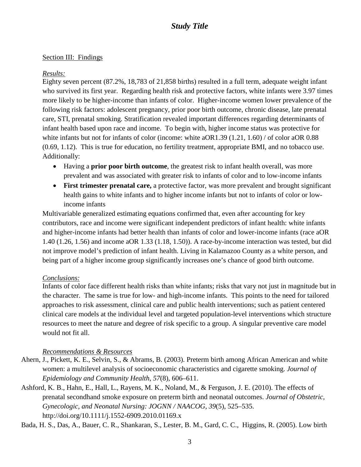## Section III: Findings

### *Results:*

Eighty seven percent (87.2%, 18,783 of 21,858 births) resulted in a full term, adequate weight infant who survived its first year. Regarding health risk and protective factors, white infants were 3.97 times more likely to be higher-income than infants of color. Higher-income women lower prevalence of the following risk factors: adolescent pregnancy, prior poor birth outcome, chronic disease, late prenatal care, STI, prenatal smoking. Stratification revealed important differences regarding determinants of infant health based upon race and income. To begin with, higher income status was protective for white infants but not for infants of color (income: white aOR1.39 (1.21, 1.60) / of color aOR 0.88 (0.69, 1.12). This is true for education, no fertility treatment, appropriate BMI, and no tobacco use. Additionally:

- Having a **prior poor birth outcome**, the greatest risk to infant health overall, was more prevalent and was associated with greater risk to infants of color and to low-income infants
- **First trimester prenatal care,** a protective factor, was more prevalent and brought significant health gains to white infants and to higher income infants but not to infants of color or lowincome infants

Multivariable generalized estimating equations confirmed that, even after accounting for key contributors, race and income were significant independent predictors of infant health: white infants and higher-income infants had better health than infants of color and lower-income infants (race aOR 1.40 (1.26, 1.56) and income aOR 1.33 (1.18, 1.50)). A race-by-income interaction was tested, but did not improve model's prediction of infant health. Living in Kalamazoo County as a white person, and being part of a higher income group significantly increases one's chance of good birth outcome.

### *Conclusions:*

Infants of color face different health risks than white infants; risks that vary not just in magnitude but in the character. The same is true for low- and high-income infants. This points to the need for tailored approaches to risk assessment, clinical care and public health interventions; such as patient centered clinical care models at the individual level and targeted population-level interventions which structure resources to meet the nature and degree of risk specific to a group. A singular preventive care model would not fit all.

## *Recommendations & Resources*

- Ahern, J., Pickett, K. E., Selvin, S., & Abrams, B. (2003). Preterm birth among African American and white women: a multilevel analysis of socioeconomic characteristics and cigarette smoking. *Journal of Epidemiology and Community Health*, *57*(8), 606–611.
- Ashford, K. B., Hahn, E., Hall, L., Rayens, M. K., Noland, M., & Ferguson, J. E. (2010). The effects of prenatal secondhand smoke exposure on preterm birth and neonatal outcomes. *Journal of Obstetric, Gynecologic, and Neonatal Nursing: JOGNN / NAACOG*, *39*(5), 525–535. http://doi.org/10.1111/j.1552-6909.2010.01169.x

Bada, H. S., Das, A., Bauer, C. R., Shankaran, S., Lester, B. M., Gard, C. C., Higgins, R. (2005). Low birth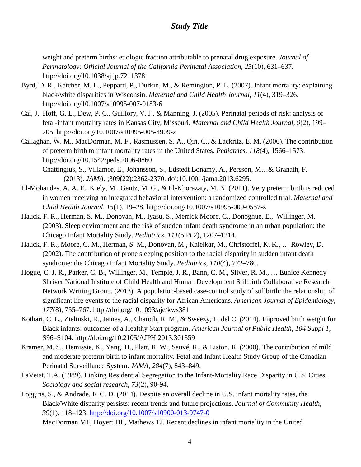weight and preterm births: etiologic fraction attributable to prenatal drug exposure. *Journal of Perinatology: Official Journal of the California Perinatal Association*, *25*(10), 631–637. http://doi.org/10.1038/sj.jp.7211378

- Byrd, D. R., Katcher, M. L., Peppard, P., Durkin, M., & Remington, P. L. (2007). Infant mortality: explaining black/white disparities in Wisconsin. *Maternal and Child Health Journal*, *11*(4), 319–326. http://doi.org/10.1007/s10995-007-0183-6
- Cai, J., Hoff, G. L., Dew, P. C., Guillory, V. J., & Manning, J. (2005). Perinatal periods of risk: analysis of fetal-infant mortality rates in Kansas City, Missouri. *Maternal and Child Health Journal*, *9*(2), 199– 205. http://doi.org/10.1007/s10995-005-4909-z
- Callaghan, W. M., MacDorman, M. F., Rasmussen, S. A., Qin, C., & Lackritz, E. M. (2006). The contribution of preterm birth to infant mortality rates in the United States. *Pediatrics*, *118*(4), 1566–1573. http://doi.org/10.1542/peds.2006-0860
	- Cnattingius, S., Villamor, E., Johansson, S., Edstedt Bonamy, A., Persson, M…& Granath, F. (2013). *JAMA.* ;309(22):2362-2370. doi:10.1001/jama.2013.6295.
- El-Mohandes, A. A. E., Kiely, M., Gantz, M. G., & El-Khorazaty, M. N. (2011). Very preterm birth is reduced in women receiving an integrated behavioral intervention: a randomized controlled trial. *Maternal and Child Health Journal*, *15*(1), 19–28. http://doi.org/10.1007/s10995-009-0557-z
- Hauck, F. R., Herman, S. M., Donovan, M., Iyasu, S., Merrick Moore, C., Donoghue, E., Willinger, M. (2003). Sleep environment and the risk of sudden infant death syndrome in an urban population: the Chicago Infant Mortality Study. *Pediatrics*, *111*(5 Pt 2), 1207–1214.
- Hauck, F. R., Moore, C. M., Herman, S. M., Donovan, M., Kalelkar, M., Christoffel, K. K., … Rowley, D. (2002). The contribution of prone sleeping position to the racial disparity in sudden infant death syndrome: the Chicago Infant Mortality Study. *Pediatrics*, *110*(4), 772–780.
- Hogue, C. J. R., Parker, C. B., Willinger, M., Temple, J. R., Bann, C. M., Silver, R. M., … Eunice Kennedy Shriver National Institute of Child Health and Human Development Stillbirth Collaborative Research Network Writing Group. (2013). A population-based case-control study of stillbirth: the relationship of significant life events to the racial disparity for African Americans. *American Journal of Epidemiology*, *177*(8), 755–767. http://doi.org/10.1093/aje/kws381
- Kothari, C. L., Zielinski, R., James, A., Charoth, R. M., & Sweezy, L. del C. (2014). Improved birth weight for Black infants: outcomes of a Healthy Start program. *American Journal of Public Health*, *104 Suppl 1*, S96–S104. http://doi.org/10.2105/AJPH.2013.301359
- Kramer, M. S., Demissie, K., Yang, H., Platt, R. W., Sauvé, R., & Liston, R. (2000). The contribution of mild and moderate preterm birth to infant mortality. Fetal and Infant Health Study Group of the Canadian Perinatal Surveillance System. *JAMA*, *284*(7), 843–849.
- LaVeist, T.A. (1989). Linking Residential Segregation to the Infant-Mortality Race Disparity in U.S. Cities. *Sociology and social research, 73*(2), 90-94.
- Loggins, S., & Andrade, F. C. D. (2014). Despite an overall decline in U.S. infant mortality rates, the Black/White disparity persists: recent trends and future projections. *Journal of Community Health*, *39*(1), 118–123.<http://doi.org/10.1007/s10900-013-9747-0>
	- MacDorman MF, Hoyert DL, Mathews TJ. Recent declines in infant mortality in the United